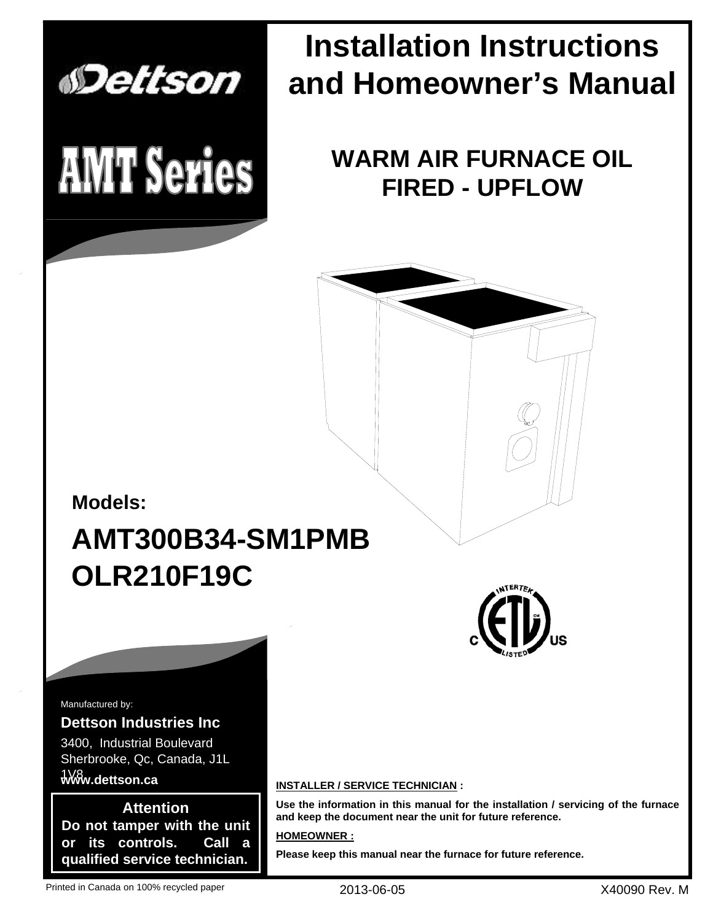

# **Installation Instructions and Homeowner's Manual**

**WARM AIR FURNACE OIL FIRED - UPFLOW**



Manufactured by:

### **Dettson Industries Inc** 3400, Industrial Boulevard Sherbrooke, Qc, Canada, J1L

### **www.dettson.ca** 1V8

**Attention Do not tamper with the unit or its controls. Call a qualified service technician.**

### **INSTALLER / SERVICE TECHNICIAN :**

**Use the information in this manual for the installation / servicing of the furnace and keep the document near the unit for future reference.**

### **HOMEOWNER :**

**Please keep this manual near the furnace for future reference.**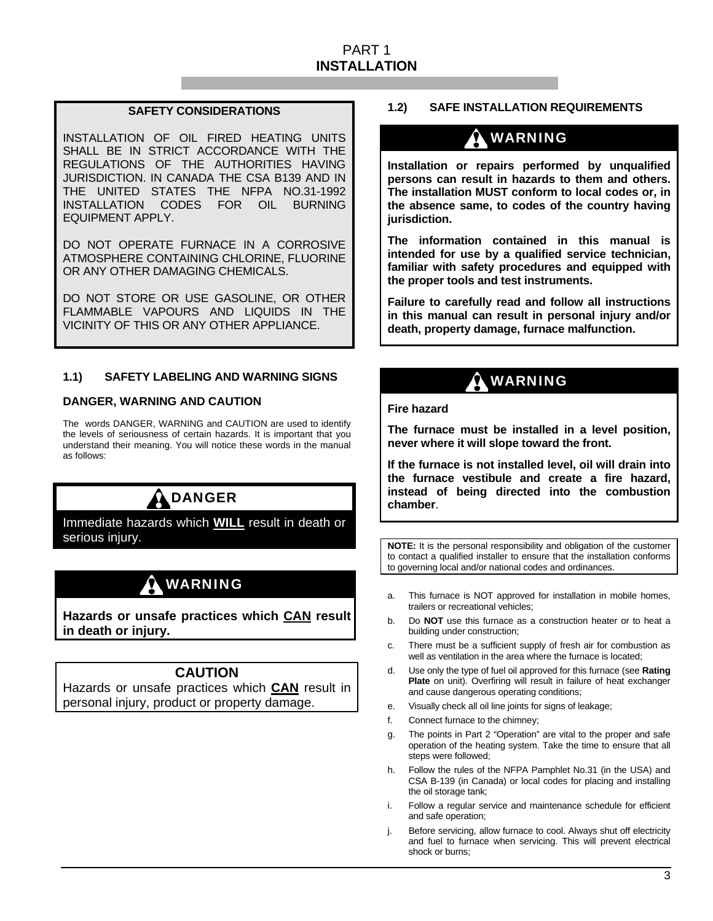### PART 1 **INSTALLATION**

### **SAFETY CONSIDERATIONS**

INSTALLATION OF OIL FIRED HEATING UNITS SHALL BE IN STRICT ACCORDANCE WITH THE REGULATIONS OF THE AUTHORITIES HAVING JURISDICTION. IN CANADA THE CSA B139 AND IN THE UNITED STATES THE NFPA NO.31-1992 INSTALLATION CODES FOR OIL BURNING EQUIPMENT APPLY.

DO NOT OPERATE FURNACE IN A CORROSIVE ATMOSPHERE CONTAINING CHLORINE, FLUORINE OR ANY OTHER DAMAGING CHEMICALS.

DO NOT STORE OR USE GASOLINE, OR OTHER FLAMMABLE VAPOURS AND LIQUIDS IN THE VICINITY OF THIS OR ANY OTHER APPLIANCE.

### **1.1) SAFETY LABELING AND WARNING SIGNS**

### **DANGER, WARNING AND CAUTION**

The words DANGER, WARNING and CAUTION are used to identify the levels of seriousness of certain hazards. It is important that you understand their meaning. You will notice these words in the manual as follows:

## DANGER

Immediate hazards which **WILL** result in death or serious injury.

### WARNING

**Hazards or unsafe practices which CAN result in death or injury.** 

### **CAUTION**

Hazards or unsafe practices which **CAN** result in personal injury, product or property damage.

### **1.2) SAFE INSTALLATION REQUIREMENTS**

### WARNING

**Installation or repairs performed by unqualified persons can result in hazards to them and others. The installation MUST conform to local codes or, in the absence same, to codes of the country having jurisdiction.** 

**The information contained in this manual is intended for use by a qualified service technician, familiar with safety procedures and equipped with the proper tools and test instruments.** 

**Failure to carefully read and follow all instructions in this manual can result in personal injury and/or death, property damage, furnace malfunction.** 

### WARNING

**Fire hazard** 

**The furnace must be installed in a level position, never where it will slope toward the front.** 

**If the furnace is not installed level, oil will drain into the furnace vestibule and create a fire hazard, instead of being directed into the combustion chamber**.

**NOTE:** It is the personal responsibility and obligation of the customer to contact a qualified installer to ensure that the installation conforms to governing local and/or national codes and ordinances.

- a. This furnace is NOT approved for installation in mobile homes, trailers or recreational vehicles;
- b. Do **NOT** use this furnace as a construction heater or to heat a building under construction;
- c. There must be a sufficient supply of fresh air for combustion as well as ventilation in the area where the furnace is located;
- d. Use only the type of fuel oil approved for this furnace (see **Rating Plate** on unit). Overfiring will result in failure of heat exchanger and cause dangerous operating conditions;
- e. Visually check all oil line joints for signs of leakage;
- f. Connect furnace to the chimney;
- g. The points in Part 2 "Operation" are vital to the proper and safe operation of the heating system. Take the time to ensure that all steps were followed;
- h. Follow the rules of the NFPA Pamphlet No.31 (in the USA) and CSA B-139 (in Canada) or local codes for placing and installing the oil storage tank;
- i. Follow a regular service and maintenance schedule for efficient and safe operation;
- Before servicing, allow furnace to cool. Always shut off electricity and fuel to furnace when servicing. This will prevent electrical shock or burns;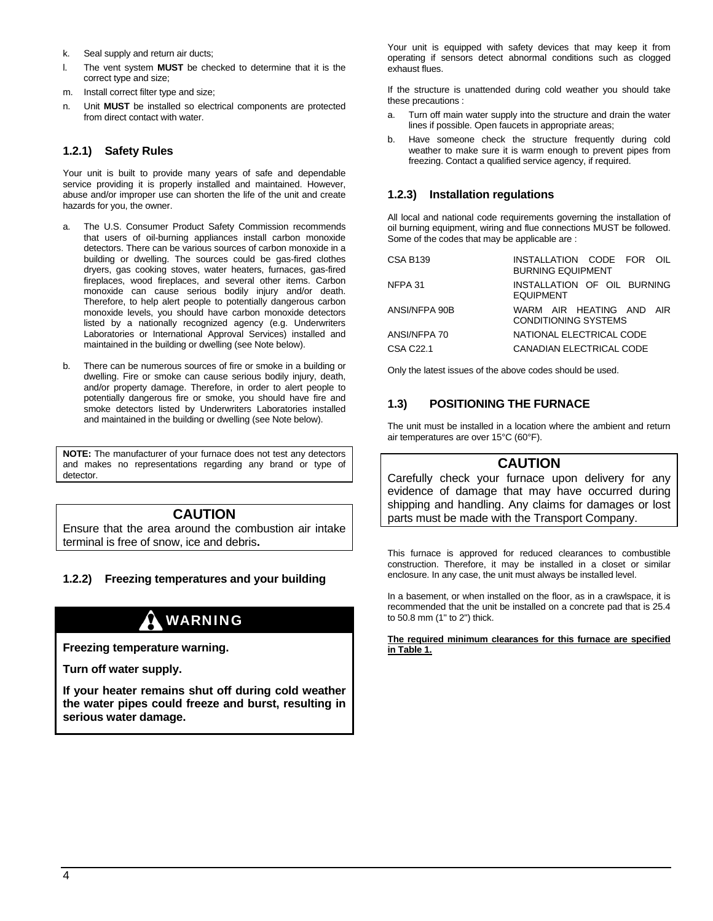- k. Seal supply and return air ducts;
- The vent system **MUST** be checked to determine that it is the correct type and size;
- m. Install correct filter type and size;
- n. Unit **MUST** be installed so electrical components are protected from direct contact with water.

### **1.2.1) Safety Rules**

Your unit is built to provide many years of safe and dependable service providing it is properly installed and maintained. However, abuse and/or improper use can shorten the life of the unit and create hazards for you, the owner.

- a. The U.S. Consumer Product Safety Commission recommends that users of oil-burning appliances install carbon monoxide detectors. There can be various sources of carbon monoxide in a building or dwelling. The sources could be gas-fired clothes dryers, gas cooking stoves, water heaters, furnaces, gas-fired fireplaces, wood fireplaces, and several other items. Carbon monoxide can cause serious bodily injury and/or death. Therefore, to help alert people to potentially dangerous carbon monoxide levels, you should have carbon monoxide detectors listed by a nationally recognized agency (e.g. Underwriters Laboratories or International Approval Services) installed and maintained in the building or dwelling (see Note below).
- b. There can be numerous sources of fire or smoke in a building or dwelling. Fire or smoke can cause serious bodily injury, death, and/or property damage. Therefore, in order to alert people to potentially dangerous fire or smoke, you should have fire and smoke detectors listed by Underwriters Laboratories installed and maintained in the building or dwelling (see Note below).

**NOTE:** The manufacturer of your furnace does not test any detectors and makes no representations regarding any brand or type of detector.

### **CAUTION**

Ensure that the area around the combustion air intake terminal is free of snow, ice and debris**.** 

### **1.2.2) Freezing temperatures and your building**

### WARNING

**Freezing temperature warning.** 

**Turn off water supply.** 

**If your heater remains shut off during cold weather the water pipes could freeze and burst, resulting in serious water damage.** 

Your unit is equipped with safety devices that may keep it from operating if sensors detect abnormal conditions such as clogged exhaust flues.

If the structure is unattended during cold weather you should take these precautions :

- a. Turn off main water supply into the structure and drain the water lines if possible. Open faucets in appropriate areas;
- b. Have someone check the structure frequently during cold weather to make sure it is warm enough to prevent pipes from freezing. Contact a qualified service agency, if required.

### **1.2.3) Installation regulations**

All local and national code requirements governing the installation of oil burning equipment, wiring and flue connections MUST be followed. Some of the codes that may be applicable are :

| <b>CSA B139</b> | INSTALLATION CODE FOR OIL<br><b>BURNING EQUIPMENT</b>   |
|-----------------|---------------------------------------------------------|
| NFPA 31         | INSTALLATION OF OIL BURNING<br><b>EQUIPMENT</b>         |
| ANSI/NFPA 90B   | WARM AIR HEATING AND AIR<br><b>CONDITIONING SYSTEMS</b> |
| ANSI/NFPA 70    | NATIONAL ELECTRICAL CODE                                |
| CSA C22.1       | CANADIAN ELECTRICAL CODE                                |

Only the latest issues of the above codes should be used.

### **1.3) POSITIONING THE FURNACE**

The unit must be installed in a location where the ambient and return air temperatures are over 15°C (60°F).

### **CAUTION**

Carefully check your furnace upon delivery for any evidence of damage that may have occurred during shipping and handling. Any claims for damages or lost parts must be made with the Transport Company.

This furnace is approved for reduced clearances to combustible construction. Therefore, it may be installed in a closet or similar enclosure. In any case, the unit must always be installed level.

In a basement, or when installed on the floor, as in a crawlspace, it is recommended that the unit be installed on a concrete pad that is 25.4 to 50.8 mm (1" to 2") thick.

#### **The required minimum clearances for this furnace are specified in Table 1.**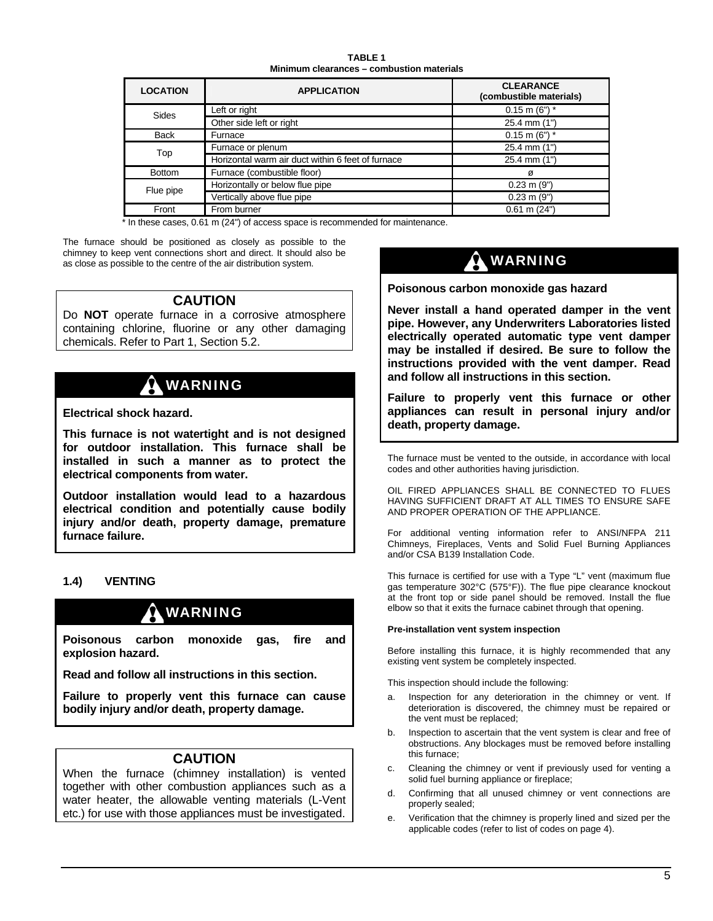**TABLE 1 Minimum clearances – combustion materials** 

| <b>LOCATION</b> | <b>APPLICATION</b>                                | <b>CLEARANCE</b><br>(combustible materials) |
|-----------------|---------------------------------------------------|---------------------------------------------|
| Sides           | Left or right                                     | $0.15$ m (6") *                             |
|                 | Other side left or right                          | 25.4 mm (1")                                |
| <b>Back</b>     | Furnace                                           | $0.15$ m (6") $*$                           |
| Top             | Furnace or plenum                                 | 25.4 mm (1")                                |
|                 | Horizontal warm air duct within 6 feet of furnace | $25.4$ mm $(1")$                            |
| <b>Bottom</b>   | Furnace (combustible floor)                       | Ø                                           |
| Flue pipe       | Horizontally or below flue pipe                   | $0.23$ m $(9")$                             |
|                 | Vertically above flue pipe                        | $0.23$ m $(9")$                             |
| Front           | From burner                                       | $0.61$ m $(24")$                            |

\* In these cases, 0.61 m (24") of access space is recommended for maintenance.

The furnace should be positioned as closely as possible to the chimney to keep vent connections short and direct. It should also be as close as possible to the centre of the air distribution system.

### **CAUTION**

Do **NOT** operate furnace in a corrosive atmosphere containing chlorine, fluorine or any other damaging chemicals. Refer to Part 1, Section 5.2.

## WARNING

**Electrical shock hazard.** 

**This furnace is not watertight and is not designed for outdoor installation. This furnace shall be installed in such a manner as to protect the electrical components from water.** 

**Outdoor installation would lead to a hazardous electrical condition and potentially cause bodily injury and/or death, property damage, premature furnace failure.** 

### **1.4) VENTING**

### WARNING

**Poisonous carbon monoxide gas, fire and explosion hazard.** 

**Read and follow all instructions in this section.** 

**Failure to properly vent this furnace can cause bodily injury and/or death, property damage.** 

### **CAUTION**

When the furnace (chimney installation) is vented together with other combustion appliances such as a water heater, the allowable venting materials (L-Vent etc.) for use with those appliances must be investigated.

## WARNING

**Poisonous carbon monoxide gas hazard** 

**Never install a hand operated damper in the vent pipe. However, any Underwriters Laboratories listed electrically operated automatic type vent damper may be installed if desired. Be sure to follow the instructions provided with the vent damper. Read and follow all instructions in this section.** 

**Failure to properly vent this furnace or other appliances can result in personal injury and/or death, property damage.** 

The furnace must be vented to the outside, in accordance with local codes and other authorities having jurisdiction.

OIL FIRED APPLIANCES SHALL BE CONNECTED TO FLUES HAVING SUFFICIENT DRAFT AT ALL TIMES TO ENSURE SAFE AND PROPER OPERATION OF THE APPLIANCE.

For additional venting information refer to ANSI/NFPA 211 Chimneys, Fireplaces, Vents and Solid Fuel Burning Appliances and/or CSA B139 Installation Code.

This furnace is certified for use with a Type "L" vent (maximum flue gas temperature 302°C (575°F)). The flue pipe clearance knockout at the front top or side panel should be removed. Install the flue elbow so that it exits the furnace cabinet through that opening.

### **Pre-installation vent system inspection**

Before installing this furnace, it is highly recommended that any existing vent system be completely inspected.

This inspection should include the following:

- a. Inspection for any deterioration in the chimney or vent. If deterioration is discovered, the chimney must be repaired or the vent must be replaced;
- b. Inspection to ascertain that the vent system is clear and free of obstructions. Any blockages must be removed before installing this furnace;
- c. Cleaning the chimney or vent if previously used for venting a solid fuel burning appliance or fireplace;
- d. Confirming that all unused chimney or vent connections are properly sealed;
- e. Verification that the chimney is properly lined and sized per the applicable codes (refer to list of codes on page 4).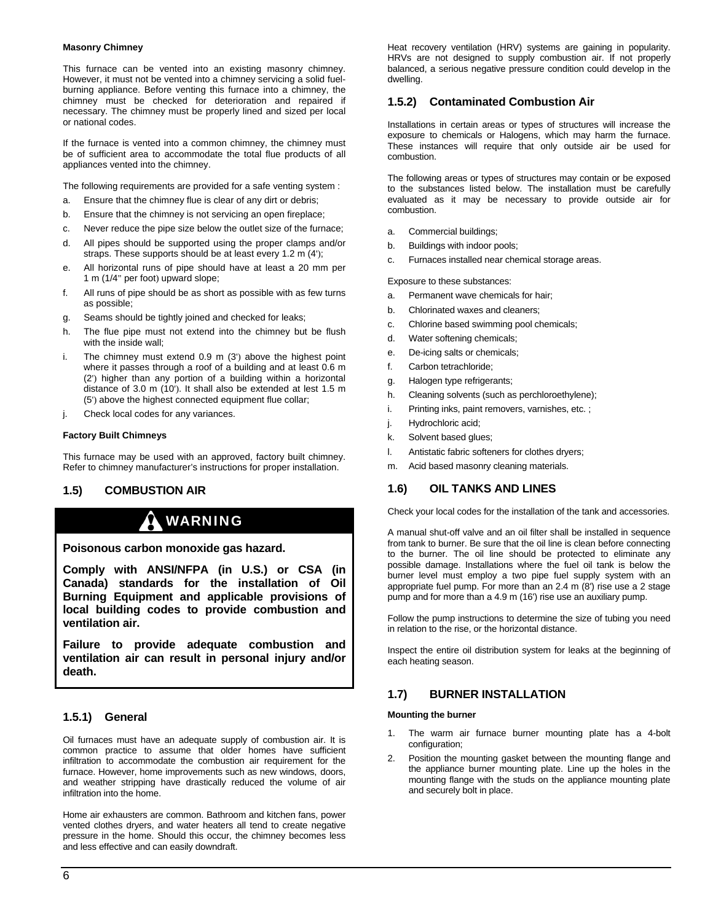#### **Masonry Chimney**

This furnace can be vented into an existing masonry chimney. However, it must not be vented into a chimney servicing a solid fuelburning appliance. Before venting this furnace into a chimney, the chimney must be checked for deterioration and repaired if necessary. The chimney must be properly lined and sized per local or national codes.

If the furnace is vented into a common chimney, the chimney must be of sufficient area to accommodate the total flue products of all appliances vented into the chimney.

The following requirements are provided for a safe venting system :

- a. Ensure that the chimney flue is clear of any dirt or debris;
- b. Ensure that the chimney is not servicing an open fireplace;
- c. Never reduce the pipe size below the outlet size of the furnace;
- d. All pipes should be supported using the proper clamps and/or straps. These supports should be at least every 1.2 m (4');
- e. All horizontal runs of pipe should have at least a 20 mm per 1 m (1/4" per foot) upward slope;
- f. All runs of pipe should be as short as possible with as few turns as possible;
- g. Seams should be tightly joined and checked for leaks;
- h. The flue pipe must not extend into the chimney but be flush with the inside wall;
- i. The chimney must extend 0.9 m (3') above the highest point where it passes through a roof of a building and at least 0.6 m (2') higher than any portion of a building within a horizontal distance of 3.0 m (10'). It shall also be extended at lest 1.5 m (5') above the highest connected equipment flue collar;
- j. Check local codes for any variances.

#### **Factory Built Chimneys**

This furnace may be used with an approved, factory built chimney. Refer to chimney manufacturer's instructions for proper installation.

### **1.5) COMBUSTION AIR**

### WARNING

**Poisonous carbon monoxide gas hazard.** 

**Comply with ANSI/NFPA (in U.S.) or CSA (in Canada) standards for the installation of Oil Burning Equipment and applicable provisions of local building codes to provide combustion and ventilation air.** 

**Failure to provide adequate combustion and ventilation air can result in personal injury and/or death.** 

### **1.5.1) General**

Oil furnaces must have an adequate supply of combustion air. It is common practice to assume that older homes have sufficient infiltration to accommodate the combustion air requirement for the furnace. However, home improvements such as new windows, doors, and weather stripping have drastically reduced the volume of air infiltration into the home.

Home air exhausters are common. Bathroom and kitchen fans, power vented clothes dryers, and water heaters all tend to create negative pressure in the home. Should this occur, the chimney becomes less and less effective and can easily downdraft.

Heat recovery ventilation (HRV) systems are gaining in popularity. HRVs are not designed to supply combustion air. If not properly balanced, a serious negative pressure condition could develop in the dwelling.

### **1.5.2) Contaminated Combustion Air**

Installations in certain areas or types of structures will increase the exposure to chemicals or Halogens, which may harm the furnace. These instances will require that only outside air be used for combustion.

The following areas or types of structures may contain or be exposed to the substances listed below. The installation must be carefully evaluated as it may be necessary to provide outside air for combustion.

- a. Commercial buildings;
- b. Buildings with indoor pools;
- c. Furnaces installed near chemical storage areas.

Exposure to these substances:

- a. Permanent wave chemicals for hair;
- b. Chlorinated waxes and cleaners;
- c. Chlorine based swimming pool chemicals;
- d. Water softening chemicals;
- e. De-icing salts or chemicals;
- f. Carbon tetrachloride;
- g. Halogen type refrigerants;
- h. Cleaning solvents (such as perchloroethylene);
- i. Printing inks, paint removers, varnishes, etc. ;
- j. Hydrochloric acid;
- k. Solvent based glues;
- l. Antistatic fabric softeners for clothes dryers;
- m. Acid based masonry cleaning materials.

### **1.6) OIL TANKS AND LINES**

Check your local codes for the installation of the tank and accessories.

A manual shut-off valve and an oil filter shall be installed in sequence from tank to burner. Be sure that the oil line is clean before connecting to the burner. The oil line should be protected to eliminate any possible damage. Installations where the fuel oil tank is below the burner level must employ a two pipe fuel supply system with an appropriate fuel pump. For more than an 2.4 m (8') rise use a 2 stage pump and for more than a 4.9 m (16') rise use an auxiliary pump.

Follow the pump instructions to determine the size of tubing you need in relation to the rise, or the horizontal distance.

Inspect the entire oil distribution system for leaks at the beginning of each heating season.

### **1.7) BURNER INSTALLATION**

#### **Mounting the burner**

- 1. The warm air furnace burner mounting plate has a 4-bolt configuration;
- Position the mounting gasket between the mounting flange and the appliance burner mounting plate. Line up the holes in the mounting flange with the studs on the appliance mounting plate and securely bolt in place.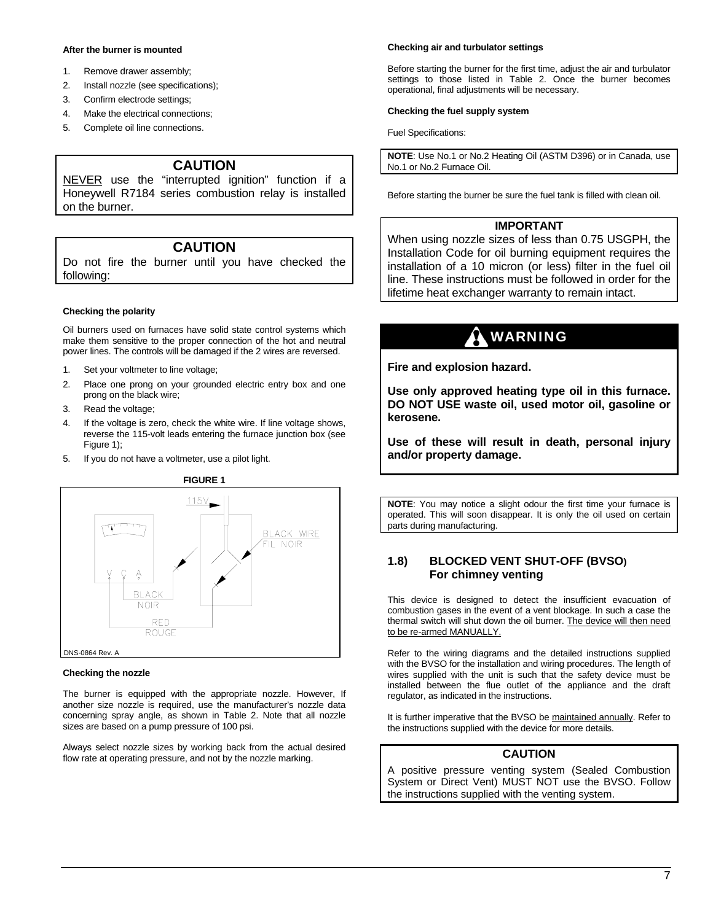#### **After the burner is mounted**

- 1. Remove drawer assembly;
- 2. Install nozzle (see specifications);
- 3. Confirm electrode settings;
- 4. Make the electrical connections;
- 5. Complete oil line connections.

### **CAUTION**

NEVER use the "interrupted ignition" function if a Honeywell R7184 series combustion relay is installed on the burner.

### **CAUTION**

Do not fire the burner until you have checked the following:

#### **Checking the polarity**

Oil burners used on furnaces have solid state control systems which make them sensitive to the proper connection of the hot and neutral power lines. The controls will be damaged if the 2 wires are reversed.

- 1. Set your voltmeter to line voltage;
- 2. Place one prong on your grounded electric entry box and one prong on the black wire;
- 3. Read the voltage;
- 4. If the voltage is zero, check the white wire. If line voltage shows, reverse the 115-volt leads entering the furnace junction box (see Figure 1);
- 5. If you do not have a voltmeter, use a pilot light.



#### **Checking the nozzle**

The burner is equipped with the appropriate nozzle. However, If another size nozzle is required, use the manufacturer's nozzle data concerning spray angle, as shown in Table 2. Note that all nozzle sizes are based on a pump pressure of 100 psi.

Always select nozzle sizes by working back from the actual desired flow rate at operating pressure, and not by the nozzle marking.

#### **Checking air and turbulator settings**

Before starting the burner for the first time, adjust the air and turbulator settings to those listed in Table 2. Once the burner becomes operational, final adjustments will be necessary.

#### **Checking the fuel supply system**

Fuel Specifications:

**NOTE**: Use No.1 or No.2 Heating Oil (ASTM D396) or in Canada, use No.1 or No.2 Furnace Oil.

Before starting the burner be sure the fuel tank is filled with clean oil.

### **IMPORTANT**

When using nozzle sizes of less than 0.75 USGPH, the Installation Code for oil burning equipment requires the installation of a 10 micron (or less) filter in the fuel oil line. These instructions must be followed in order for the lifetime heat exchanger warranty to remain intact.

### WARNING

**Fire and explosion hazard.** 

**Use only approved heating type oil in this furnace. DO NOT USE waste oil, used motor oil, gasoline or kerosene.** 

**Use of these will result in death, personal injury and/or property damage.** 

**NOTE**: You may notice a slight odour the first time your furnace is operated. This will soon disappear. It is only the oil used on certain parts during manufacturing.

### **1.8) BLOCKED VENT SHUT-OFF (BVSO) For chimney venting**

This device is designed to detect the insufficient evacuation of combustion gases in the event of a vent blockage. In such a case the thermal switch will shut down the oil burner. The device will then need to be re-armed MANUALLY.

Refer to the wiring diagrams and the detailed instructions supplied with the BVSO for the installation and wiring procedures. The length of wires supplied with the unit is such that the safety device must be installed between the flue outlet of the appliance and the draft regulator, as indicated in the instructions.

It is further imperative that the BVSO be maintained annually. Refer to the instructions supplied with the device for more details.

### **CAUTION**

A positive pressure venting system (Sealed Combustion System or Direct Vent) MUST NOT use the BVSO. Follow the instructions supplied with the venting system.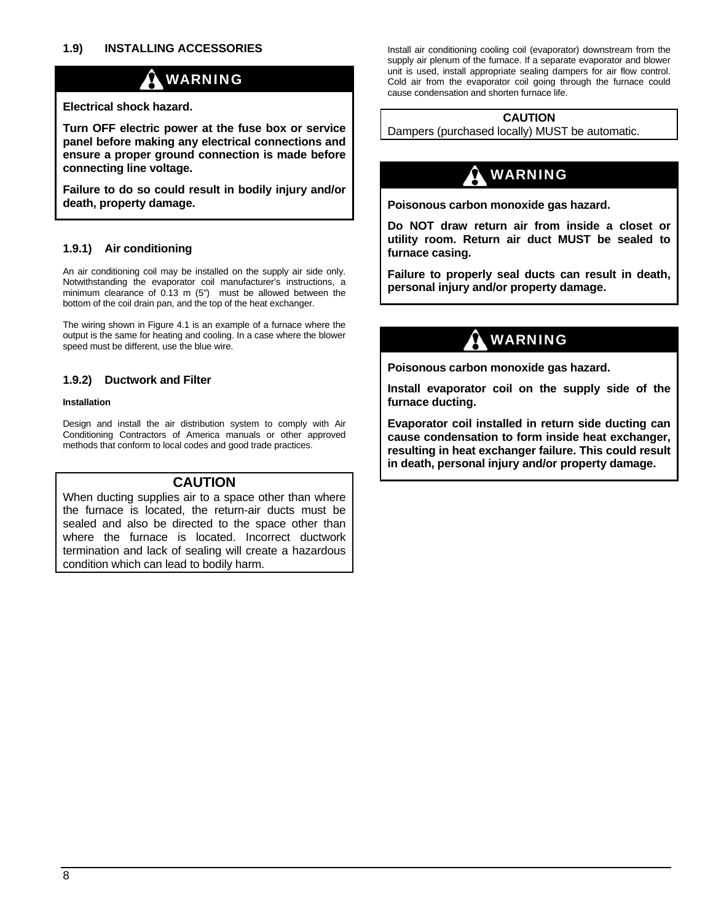### WARNING

### **Electrical shock hazard.**

**Turn OFF electric power at the fuse box or service panel before making any electrical connections and ensure a proper ground connection is made before connecting line voltage.** 

**Failure to do so could result in bodily injury and/or**  death, property damage. **Poisonous carbon monoxide gas hazard.** 

### **furnace casing. 1.9.1) Air conditioning**

An air conditioning coil may be installed on the supply air side only. Notwithstanding the evaporator coil manufacturer's instructions, a minimum clearance of 0.13 m (5") must be allowed between the bottom of the coil drain pan, and the top of the heat exchanger.

The wiring shown in Figure 4.1 is an example of a furnace where the output is the same for heating and cooling. In a case where the blower output is the same for heating and cooling. In a case where the blower<br>speed must be different, use the blue wire.

Design and install the air distribution system to comply with Air Conditioning Contractors of America manuals or other approved methods that conform to local codes and good trade practices.

### **CAUTION**

When ducting supplies air to a space other than where the furnace is located, the return-air ducts must be sealed and also be directed to the space other than where the furnace is located. Incorrect ductwork termination and lack of sealing will create a hazardous condition which can lead to bodily harm.

**1.9) INSTALLING ACCESSORIES** Install air conditioning cooling coil (evaporator) downstream from the supply air plenum of the furnace. If a separate evaporator and blower unit is used, install appropriate sealing dampers for air flow control. Cold air from the evaporator coil going through the furnace could cause condensation and shorten furnace life.

### **CAUTION**

Dampers (purchased locally) MUST be automatic.

## WARNING

**Do NOT draw return air from inside a closet or utility room. Return air duct MUST be sealed to** 

**Failure to properly seal ducts can result in death, personal injury and/or property damage.** 

**Poisonous carbon monoxide gas hazard.** 

**1.9.2)** Ductwork and Filter **Install evaporator coil on the supply side of the Installation installation installation installation installation installation installation** 

> **Evaporator coil installed in return side ducting can cause condensation to form inside heat exchanger, resulting in heat exchanger failure. This could result in death, personal injury and/or property damage.**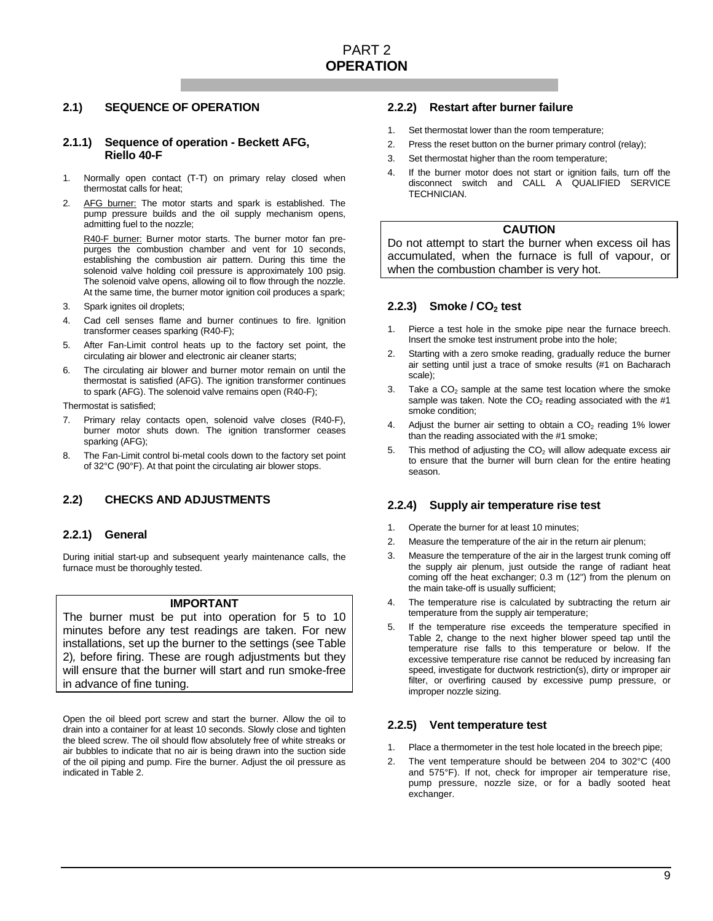### **2.1) SEQUENCE OF OPERATION**

### **2.1.1) Sequence of operation - Beckett AFG, Riello 40-F**

- 1. Normally open contact (T-T) on primary relay closed when thermostat calls for heat;
- 2. AFG burner: The motor starts and spark is established. The pump pressure builds and the oil supply mechanism opens, admitting fuel to the nozzle;

R40-F burner: Burner motor starts. The burner motor fan prepurges the combustion chamber and vent for 10 seconds, establishing the combustion air pattern. During this time the solenoid valve holding coil pressure is approximately 100 psig. The solenoid valve opens, allowing oil to flow through the nozzle. At the same time, the burner motor ignition coil produces a spark;

- 3. Spark ignites oil droplets;
- 4. Cad cell senses flame and burner continues to fire. Ignition transformer ceases sparking (R40-F);
- 5. After Fan-Limit control heats up to the factory set point, the circulating air blower and electronic air cleaner starts;
- 6. The circulating air blower and burner motor remain on until the thermostat is satisfied (AFG). The ignition transformer continues to spark (AFG). The solenoid valve remains open (R40-F);

Thermostat is satisfied;

- 7. Primary relay contacts open, solenoid valve closes (R40-F), burner motor shuts down. The ignition transformer ceases sparking (AFG);
- 8. The Fan-Limit control bi-metal cools down to the factory set point of 32°C (90°F). At that point the circulating air blower stops.

### **2.2) CHECKS AND ADJUSTMENTS**

### **2.2.1) General**

During initial start-up and subsequent yearly maintenance calls, the furnace must be thoroughly tested.

### **IMPORTANT**

The burner must be put into operation for 5 to 10 minutes before any test readings are taken. For new installations, set up the burner to the settings (see Table 2)*,* before firing. These are rough adjustments but they will ensure that the burner will start and run smoke-free in advance of fine tuning.

Open the oil bleed port screw and start the burner. Allow the oil to drain into a container for at least 10 seconds. Slowly close and tighten the bleed screw. The oil should flow absolutely free of white streaks or air bubbles to indicate that no air is being drawn into the suction side of the oil piping and pump. Fire the burner. Adjust the oil pressure as indicated in Table 2.

### **2.2.2) Restart after burner failure**

- 1. Set thermostat lower than the room temperature;
- 2. Press the reset button on the burner primary control (relay);
- 3. Set thermostat higher than the room temperature;
- 4. If the burner motor does not start or ignition fails, turn off the disconnect switch and CALL A QUALIFIED SERVICE TECHNICIAN.

### **CAUTION**

Do not attempt to start the burner when excess oil has accumulated, when the furnace is full of vapour, or when the combustion chamber is very hot.

### **2.2.3)** Smoke / CO<sub>2</sub> test

- 1. Pierce a test hole in the smoke pipe near the furnace breech. Insert the smoke test instrument probe into the hole;
- 2. Starting with a zero smoke reading, gradually reduce the burner air setting until just a trace of smoke results (#1 on Bacharach scale);
- 3. Take a  $CO<sub>2</sub>$  sample at the same test location where the smoke sample was taken. Note the  $CO<sub>2</sub>$  reading associated with the #1 smoke condition;
- 4. Adjust the burner air setting to obtain a  $CO<sub>2</sub>$  reading 1% lower than the reading associated with the #1 smoke;
- 5. This method of adjusting the  $CO<sub>2</sub>$  will allow adequate excess air to ensure that the burner will burn clean for the entire heating season.

### **2.2.4) Supply air temperature rise test**

- 1. Operate the burner for at least 10 minutes;
- 2. Measure the temperature of the air in the return air plenum;
- 3. Measure the temperature of the air in the largest trunk coming off the supply air plenum, just outside the range of radiant heat coming off the heat exchanger; 0.3 m (12") from the plenum on the main take-off is usually sufficient;
- 4. The temperature rise is calculated by subtracting the return air temperature from the supply air temperature;
- 5. If the temperature rise exceeds the temperature specified in Table 2, change to the next higher blower speed tap until the temperature rise falls to this temperature or below. If the excessive temperature rise cannot be reduced by increasing fan speed, investigate for ductwork restriction(s), dirty or improper air filter, or overfiring caused by excessive pump pressure, or improper nozzle sizing.

### **2.2.5) Vent temperature test**

- 1. Place a thermometer in the test hole located in the breech pipe;
- 2. The vent temperature should be between 204 to 302°C (400 and 575°F). If not, check for improper air temperature rise, pump pressure, nozzle size, or for a badly sooted heat exchanger.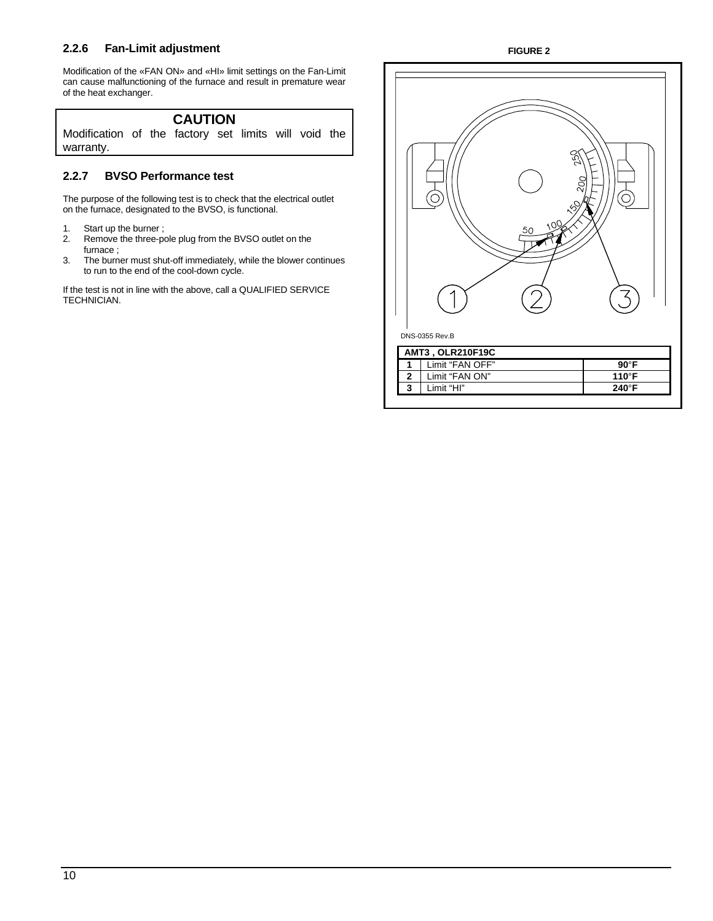### **2.2.6 Fan-Limit adjustment**

Modification of the «FAN ON» and «HI» limit settings on the Fan-Limit can cause malfunctioning of the furnace and result in premature wear of the heat exchanger.

### **CAUTION**  Modification of the factory set limits will void the

### **2.2.7 BVSO Performance test**

The purpose of the following test is to check that the electrical outlet on the furnace, designated to the BVSO, is functional.

1. Start up the burner ;

warranty.

- 2. Remove the three-pole plug from the BVSO outlet on the furnace ;
- 3. The burner must shut-off immediately, while the blower continues to run to the end of the cool-down cycle.

If the test is not in line with the above, call a QUALIFIED SERVICE TECHNICIAN.

### **FIGURE 2**

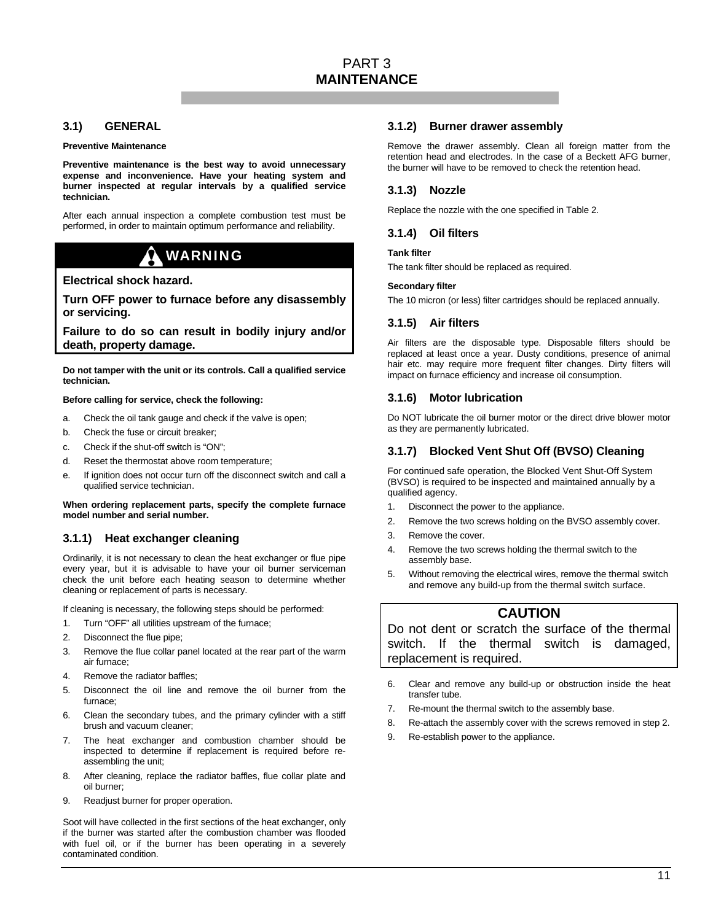### **3.1) GENERAL**

#### **Preventive Maintenance**

**Preventive maintenance is the best way to avoid unnecessary expense and inconvenience. Have your heating system and burner inspected at regular intervals by a qualified service technician.** 

After each annual inspection a complete combustion test must be performed, in order to maintain optimum performance and reliability.

### WARNING

#### **Electrical shock hazard.**

**Turn OFF power to furnace before any disassembly or servicing.** 

**Failure to do so can result in bodily injury and/or death, property damage.** 

**Do not tamper with the unit or its controls. Call a qualified service technician.** 

#### **Before calling for service, check the following:**

- a. Check the oil tank gauge and check if the valve is open;
- b. Check the fuse or circuit breaker;
- c. Check if the shut-off switch is "ON";
- d. Reset the thermostat above room temperature;
- e. If ignition does not occur turn off the disconnect switch and call a qualified service technician.

#### **When ordering replacement parts, specify the complete furnace model number and serial number.**

### **3.1.1) Heat exchanger cleaning**

Ordinarily, it is not necessary to clean the heat exchanger or flue pipe every year, but it is advisable to have your oil burner serviceman check the unit before each heating season to determine whether cleaning or replacement of parts is necessary.

If cleaning is necessary, the following steps should be performed:

- 1. Turn "OFF" all utilities upstream of the furnace;
- 2. Disconnect the flue pipe;
- 3. Remove the flue collar panel located at the rear part of the warm air furnace;
- 4. Remove the radiator baffles;
- 5. Disconnect the oil line and remove the oil burner from the furnace;
- 6. Clean the secondary tubes, and the primary cylinder with a stiff brush and vacuum cleaner;
- 7. The heat exchanger and combustion chamber should be inspected to determine if replacement is required before reassembling the unit;
- 8. After cleaning, replace the radiator baffles, flue collar plate and oil burner;
- 9. Readjust burner for proper operation.

Soot will have collected in the first sections of the heat exchanger, only if the burner was started after the combustion chamber was flooded with fuel oil, or if the burner has been operating in a severely contaminated condition.

#### **3.1.2) Burner drawer assembly**

Remove the drawer assembly. Clean all foreign matter from the retention head and electrodes. In the case of a Beckett AFG burner, the burner will have to be removed to check the retention head.

### **3.1.3) Nozzle**

Replace the nozzle with the one specified in Table 2.

### **3.1.4) Oil filters**

#### **Tank filter**

The tank filter should be replaced as required.

#### **Secondary filter**

The 10 micron (or less) filter cartridges should be replaced annually.

### **3.1.5) Air filters**

Air filters are the disposable type. Disposable filters should be replaced at least once a year. Dusty conditions, presence of animal hair etc. may require more frequent filter changes. Dirty filters will impact on furnace efficiency and increase oil consumption.

### **3.1.6) Motor lubrication**

Do NOT lubricate the oil burner motor or the direct drive blower motor as they are permanently lubricated.

### **3.1.7) Blocked Vent Shut Off (BVSO) Cleaning**

For continued safe operation, the Blocked Vent Shut-Off System (BVSO) is required to be inspected and maintained annually by a qualified agency.

- 1. Disconnect the power to the appliance.
- 2. Remove the two screws holding on the BVSO assembly cover.
- 3. Remove the cover.
- 4. Remove the two screws holding the thermal switch to the assembly base.
- 5. Without removing the electrical wires, remove the thermal switch and remove any build-up from the thermal switch surface.

### **CAUTION**

Do not dent or scratch the surface of the thermal switch. If the thermal switch is damaged, replacement is required.

- 6. Clear and remove any build-up or obstruction inside the heat transfer tube.
- 7. Re-mount the thermal switch to the assembly base.
- 8. Re-attach the assembly cover with the screws removed in step 2.
- 9. Re-establish power to the appliance.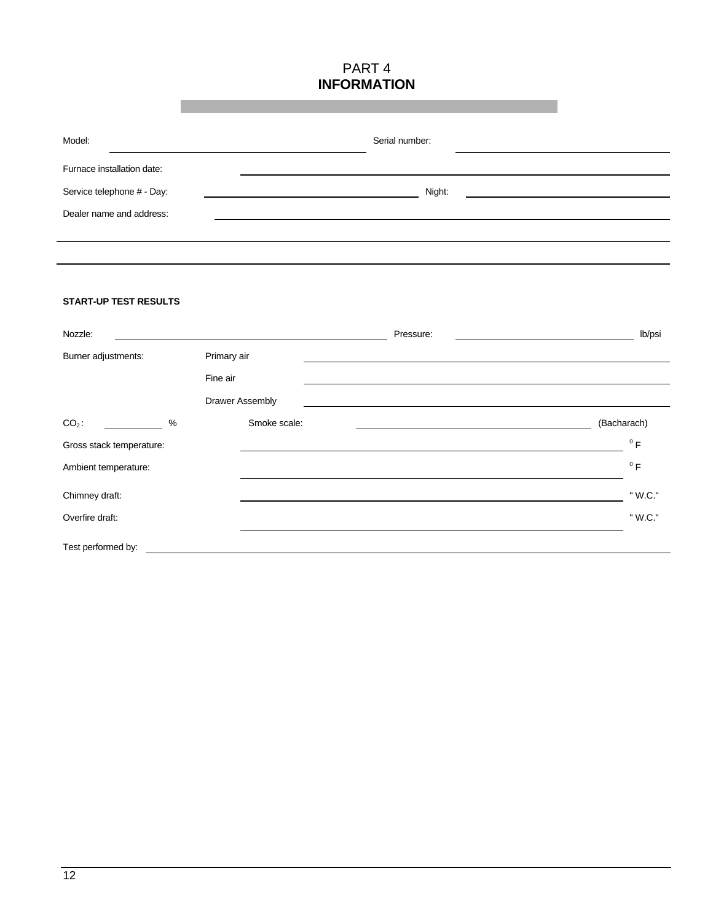### PART 4 **INFORMATION**

| Model:                     | Serial number: |
|----------------------------|----------------|
| Furnace installation date: |                |
| Service telephone # - Day: | Night:         |
| Dealer name and address:   |                |
|                            |                |
|                            |                |

### **START-UP TEST RESULTS**

| Nozzle:                  |                        |              | Pressure: | lb/psi      |
|--------------------------|------------------------|--------------|-----------|-------------|
| Burner adjustments:      | Primary air            |              |           |             |
|                          | Fine air               |              |           |             |
|                          | <b>Drawer Assembly</b> |              |           |             |
| $CO2$ :<br>%             |                        | Smoke scale: |           | (Bacharach) |
| Gross stack temperature: |                        |              |           | $^0$ F      |
| Ambient temperature:     |                        |              |           | $^0$ F      |
| Chimney draft:           |                        |              |           | " W.C."     |
| Overfire draft:          |                        |              |           | " W.C."     |
| Test performed by:       |                        |              |           |             |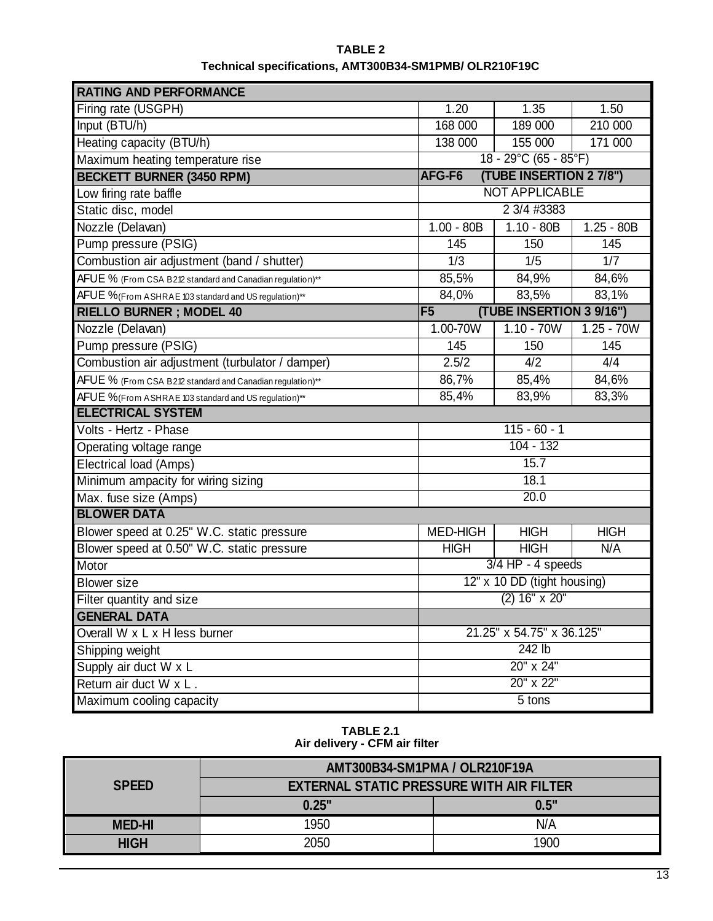| <b>RATING AND PERFORMANCE</b>                             |                             |                          |              |
|-----------------------------------------------------------|-----------------------------|--------------------------|--------------|
| Firing rate (USGPH)                                       | 1.20                        | 1.35                     | 1.50         |
| Input (BTU/h)                                             | 168 000                     | 189 000                  | 210 000      |
| Heating capacity (BTU/h)                                  | 138 000                     | 155 000                  | 171 000      |
| Maximum heating temperature rise                          |                             | 18 - 29°C (65 - 85°F)    |              |
| <b>BECKETT BURNER (3450 RPM)</b>                          | AFG-F6                      | (TUBE INSERTION 2 7/8")  |              |
| Low firing rate baffle                                    |                             | <b>NOT APPLICABLE</b>    |              |
| Static disc, model                                        |                             | 2 3/4 #3383              |              |
| Nozzle (Delavan)                                          | $1.00 - 80B$                | $1.10 - 80B$             | $1.25 - 80B$ |
| Pump pressure (PSIG)                                      | 145                         | 150                      | 145          |
| Combustion air adjustment (band / shutter)                | 1/3                         | 1/5                      | 1/7          |
| AFUE % (From CSA B212 standard and Canadian regulation)** | 85,5%                       | 84,9%                    | 84,6%        |
| AFUE %(From ASHRAE 103 standard and US regulation)**      | 84,0%                       | 83,5%                    | 83,1%        |
| <b>RIELLO BURNER; MODEL 40</b>                            | F <sub>5</sub>              | (TUBE INSERTION 3 9/16") |              |
| Nozzle (Delavan)                                          | 1.00-70W                    | $1.10 - 70W$             | $1.25 - 70W$ |
| Pump pressure (PSIG)                                      | 145                         | 150                      | 145          |
| Combustion air adjustment (turbulator / damper)           | 2.5/2                       | 4/2                      | 4/4          |
| AFUE % (From CSA B212 standard and Canadian regulation)** | 86,7%                       | 85,4%                    | 84,6%        |
| AFUE %(From ASHRAE 103 standard and US regulation)**      | 85,4%                       | 83,9%                    | 83,3%        |
| <b>ELECTRICAL SYSTEM</b>                                  |                             |                          |              |
| Volts - Hertz - Phase                                     |                             | $115 - 60 - 1$           |              |
| Operating voltage range                                   | $104 - 132$                 |                          |              |
| Electrical load (Amps)                                    | 15.7                        |                          |              |
| Minimum ampacity for wiring sizing                        | 18.1                        |                          |              |
| Max. fuse size (Amps)                                     | 20.0                        |                          |              |
| <b>BLOWER DATA</b>                                        |                             |                          |              |
| Blower speed at 0.25" W.C. static pressure                | <b>MED-HIGH</b>             | <b>HIGH</b>              | <b>HIGH</b>  |
| Blower speed at 0.50" W.C. static pressure                | <b>HIGH</b>                 | <b>HIGH</b>              | N/A          |
| Motor                                                     | $3/4$ HP - 4 speeds         |                          |              |
| <b>Blower</b> size                                        | 12" x 10 DD (tight housing) |                          |              |
| Filter quantity and size                                  | $(2)$ 16" x 20"             |                          |              |
| <b>GENERAL DATA</b>                                       |                             |                          |              |
| Overall W x L x H less burner                             | 21.25" x 54.75" x 36.125"   |                          |              |
| Shipping weight                                           | $242$ lb                    |                          |              |
| Supply air duct W x L                                     | 20" x 24"                   |                          |              |
| Return air duct W x L.                                    | 20" x 22"                   |                          |              |
| Maximum cooling capacity                                  | $5$ tons                    |                          |              |

### **TABLE 2 Technical specifications, AMT300B34-SM1PMB/ OLR210F19C**

**TABLE 2.1 Air delivery - CFM air filter**

|               | AMT300B34-SM1PMA / OLR210F19A                   |      |  |
|---------------|-------------------------------------------------|------|--|
| <b>SPEED</b>  | <b>EXTERNAL STATIC PRESSURE WITH AIR FILTER</b> |      |  |
|               | 0.25"                                           | 0.5" |  |
| <b>MED-HI</b> | 1950                                            | N/A  |  |
| <b>HIGH</b>   | 2050                                            | 1900 |  |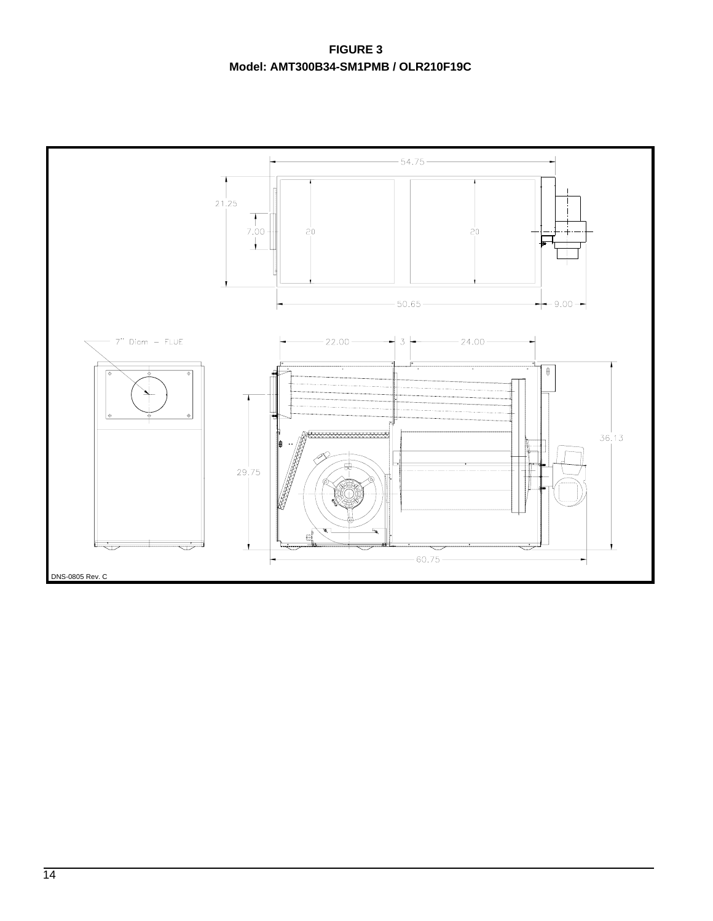**FIGURE 3 Model: AMT300B34-SM1PMB / OLR210F19C**

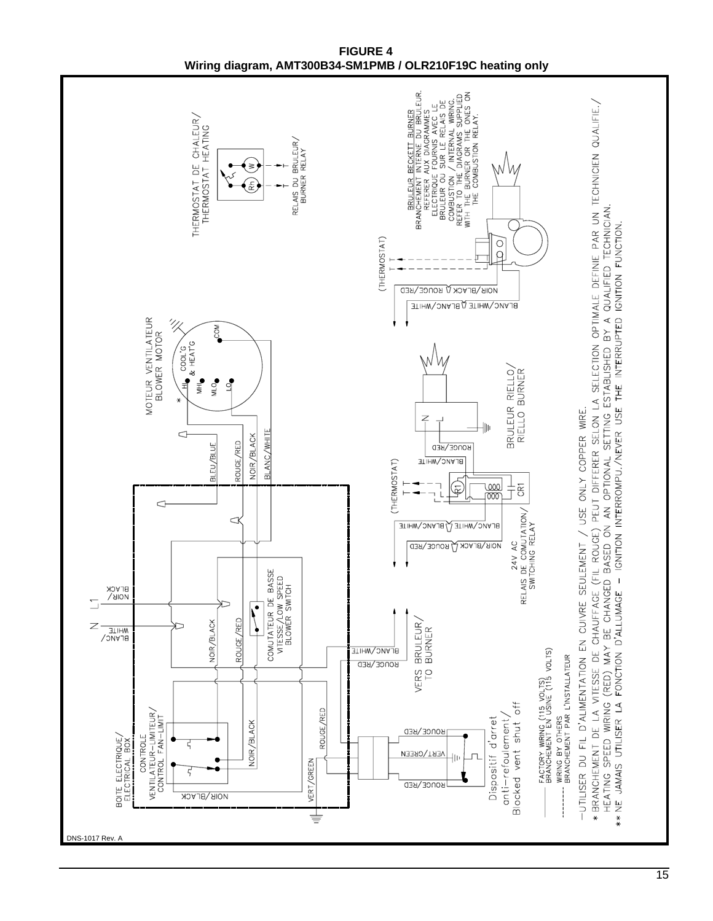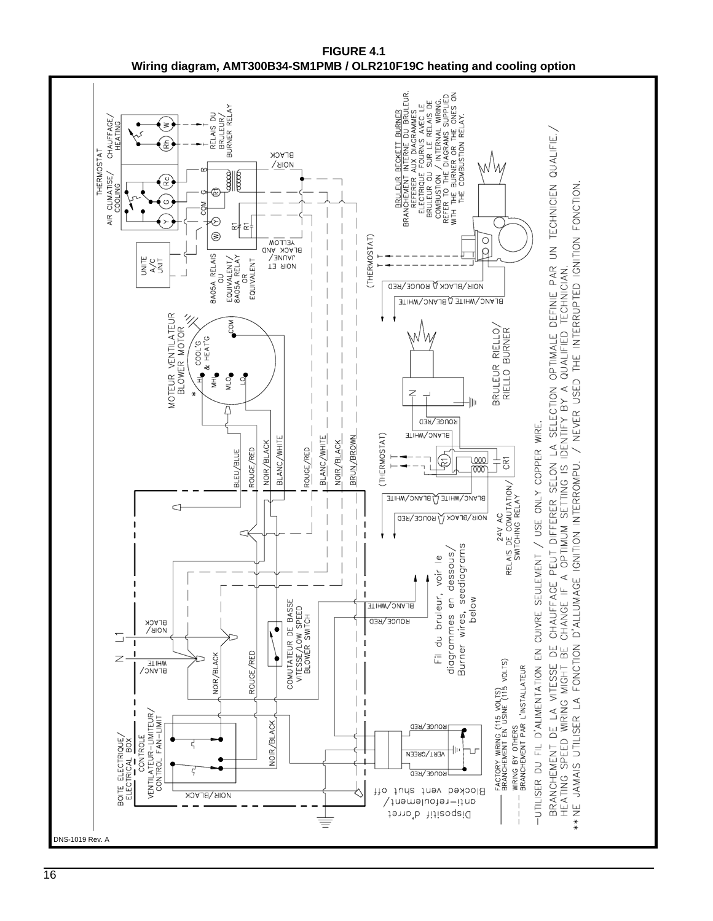

**FIGURE 4.1 Wiring diagram, AMT300B34-SM1PMB / OLR210F19C heating and cooling option**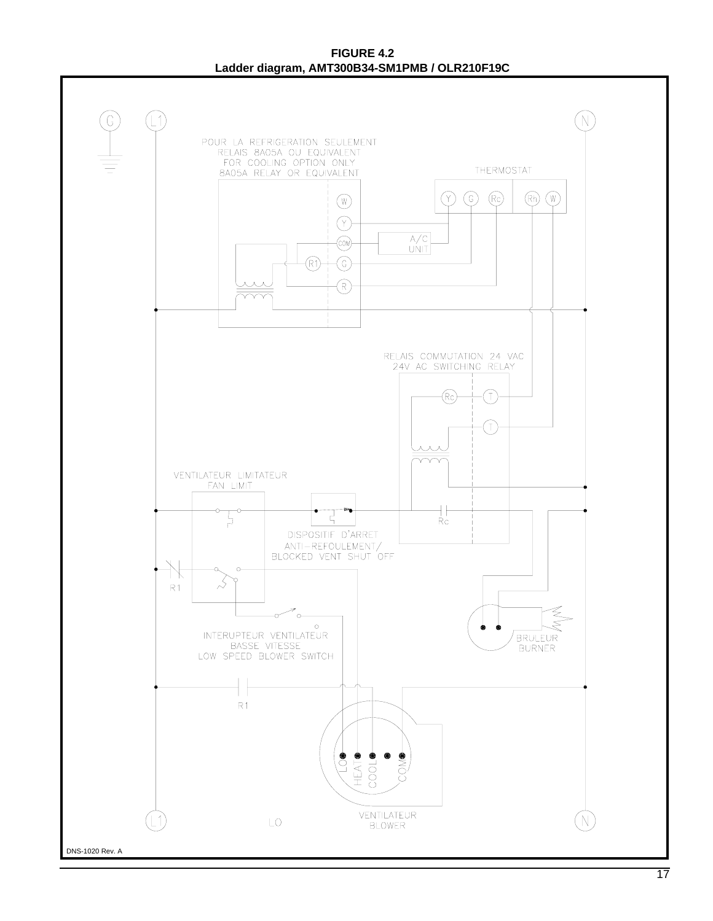**FIGURE 4.2 Ladder diagram, AMT300B34-SM1PMB / OLR210F19C**